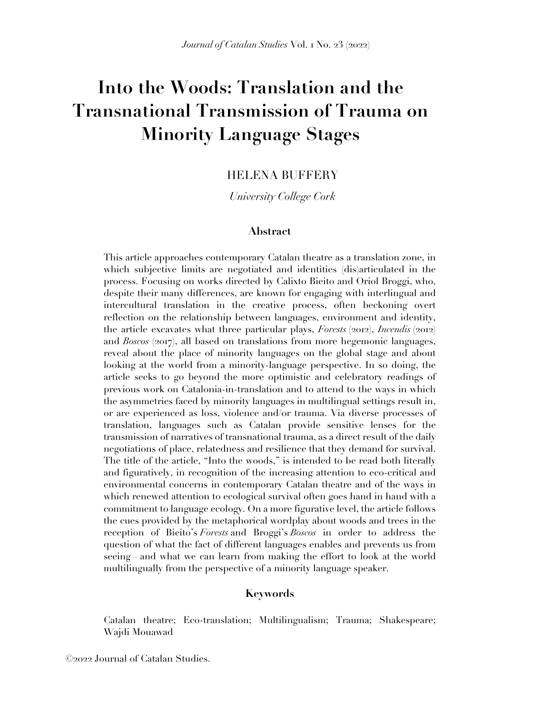# **Into the Woods: Translation and the Transnational Transmission of Trauma on Minority Language Stages**

## HELENA BUFFERY

*University College Cork*

#### **Abstract**

This article approaches contemporary Catalan theatre as a translation zone, in which subjective limits are negotiated and identities (dis)articulated in the process. Focusing on works directed by Calixto Bieito and Oriol Broggi, who, despite their many differences, are known for engaging with interlingual and intercultural translation in the creative process, often beckoning overt reflection on the relationship between languages, environment and identity, the article excavates what three particular plays, *Forests* (2012), *Incendis* (2012) and *Boscos* (2017), all based on translations from more hegemonic languages, reveal about the place of minority languages on the global stage and about looking at the world from a minority-language perspective. In so doing, the article seeks to go beyond the more optimistic and celebratory readings of previous work on Catalonia-in-translation and to attend to the ways in which the asymmetries faced by minority languages in multilingual settings result in, or are experienced as loss, violence and/or trauma. Via diverse processes of translation, languages such as Catalan provide sensitive lenses for the transmission of narratives of transnational trauma, as a direct result of the daily negotiations of place, relatedness and resilience that they demand for survival. The title of the article, "Into the woods," is intended to be read both literally and figuratively, in recognition of the increasing attention to eco-critical and environmental concerns in contemporary Catalan theatre and of the ways in which renewed attention to ecological survival often goes hand in hand with a commitment to language ecology. On a more figurative level, the article follows the cues provided by the metaphorical wordplay about woods and trees in the reception of Bieito's *Forests* and Broggi's *Boscos* in order to address the question of what the fact of different languages enables and prevents us from seeing—and what we can learn from making the effort to look at the world multilingually from the perspective of a minority language speaker.

### **Keywords**

Catalan theatre; Eco-translation; Multilingualism; Trauma; Shakespeare; Wajdi Mouawad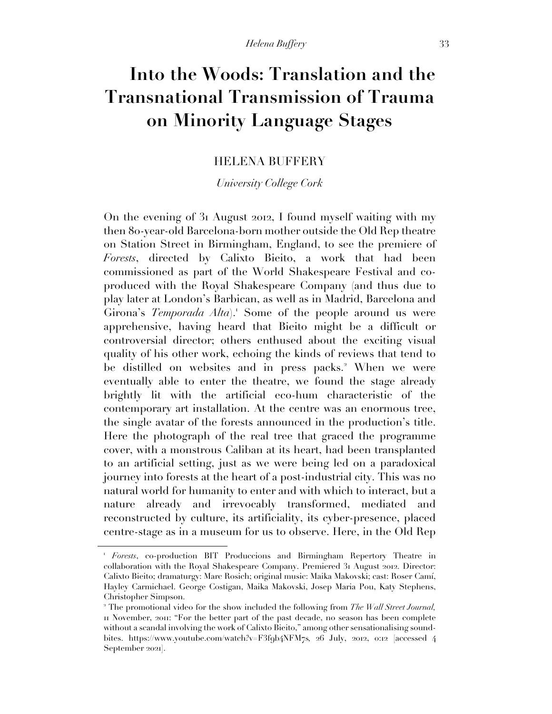# **Into the Woods: Translation and the Transnational Transmission of Trauma on Minority Language Stages**

### HELENA BUFFERY

*University College Cork*

On the evening of 31 August 2012, I found myself waiting with my then 80-year-old Barcelona-born mother outside the Old Rep theatre on Station Street in Birmingham, England, to see the premiere of *Forests*, directed by Calixto Bieito, a work that had been commissioned as part of the World Shakespeare Festival and coproduced with the Royal Shakespeare Company (and thus due to play later at London's Barbican, as well as in Madrid, Barcelona and Girona's *Temporada Alta*).<sup>1</sup> Some of the people around us were apprehensive, having heard that Bieito might be a difficult or controversial director; others enthused about the exciting visual quality of his other work, echoing the kinds of reviews that tend to be distilled on websites and in press packs. <sup>2</sup> When we were eventually able to enter the theatre, we found the stage already brightly lit with the artificial eco-hum characteristic of the contemporary art installation. At the centre was an enormous tree, the single avatar of the forests announced in the production's title. Here the photograph of the real tree that graced the programme cover, with a monstrous Caliban at its heart, had been transplanted to an artificial setting, just as we were being led on a paradoxical journey into forests at the heart of a post-industrial city. This was no natural world for humanity to enter and with which to interact, but a nature already and irrevocably transformed, mediated and reconstructed by culture, its artificiality, its cyber-presence, placed centre-stage as in a museum for us to observe. Here, in the Old Rep

<sup>1</sup> *Forests*, co-production BIT Produccions and Birmingham Repertory Theatre in collaboration with the Royal Shakespeare Company. Premiered 31 August 2012. Director: Calixto Bieito; dramaturgy: Marc Rosich; original music: Maika Makovski; cast: Roser Camí, Hayley Carmichael. George Costigan, Maika Makovski, Josep Maria Pou, Katy Stephens, Christopher Simpson.

<sup>2</sup> The promotional video for the show included the following from *The Wall Street Journal,*  11 November, 2011: "For the better part of the past decade, no season has been complete without a scandal involving the work of Calixto Bieito," among other sensationalising soundbites. https://www.youtube.com/watch?v=F3f9b4NFM7s*,* 26 July, 2012, 0:12 [accessed 4 September 2021].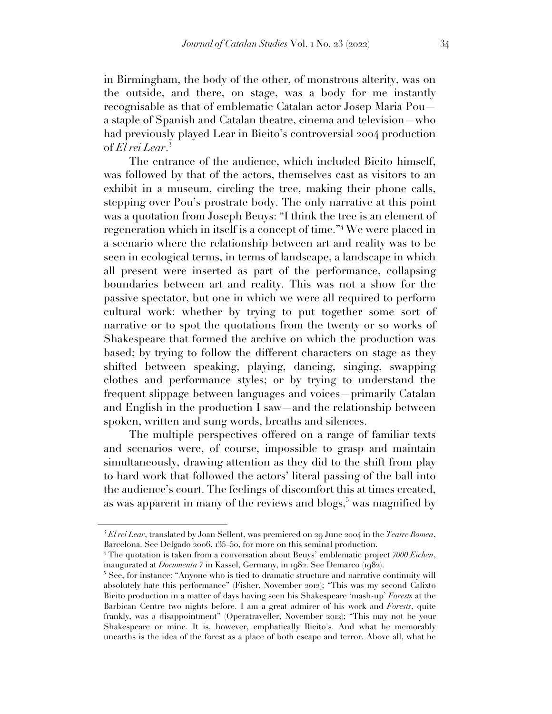in Birmingham, the body of the other, of monstrous alterity, was on the outside, and there, on stage, was a body for me instantly recognisable as that of emblematic Catalan actor Josep Maria Pou a staple of Spanish and Catalan theatre, cinema and television—who had previously played Lear in Bieito's controversial 2004 production of *El rei Lear*. 3

The entrance of the audience, which included Bieito himself, was followed by that of the actors, themselves cast as visitors to an exhibit in a museum, circling the tree, making their phone calls, stepping over Pou's prostrate body. The only narrative at this point was a quotation from Joseph Beuys: "I think the tree is an element of regeneration which in itself is a concept of time."<sup>4</sup> We were placed in a scenario where the relationship between art and reality was to be seen in ecological terms, in terms of landscape, a landscape in which all present were inserted as part of the performance, collapsing boundaries between art and reality. This was not a show for the passive spectator, but one in which we were all required to perform cultural work: whether by trying to put together some sort of narrative or to spot the quotations from the twenty or so works of Shakespeare that formed the archive on which the production was based; by trying to follow the different characters on stage as they shifted between speaking, playing, dancing, singing, swapping clothes and performance styles; or by trying to understand the frequent slippage between languages and voices—primarily Catalan and English in the production I saw—and the relationship between spoken, written and sung words, breaths and silences.

The multiple perspectives offered on a range of familiar texts and scenarios were, of course, impossible to grasp and maintain simultaneously, drawing attention as they did to the shift from play to hard work that followed the actors' literal passing of the ball into the audience's court. The feelings of discomfort this at times created, as was apparent in many of the reviews and blogs,<sup>5</sup> was magnified by

<sup>3</sup> *El rei Lear*, translated by Joan Sellent, was premiered on 29 June 2004 in the *Teatre Romea*, Barcelona. See Delgado 2006, 135–50, for more on this seminal production.

<sup>4</sup> The quotation is taken from a conversation about Beuys' emblematic project *7000 Eichen*, inaugurated at *Documenta 7* in Kassel, Germany, in 1982. See Demarco (1982).

<sup>&</sup>lt;sup>5</sup> See, for instance: "Anyone who is tied to dramatic structure and narrative continuity will absolutely hate this performance" (Fisher, November 2012); "This was my second Calixto Bieito production in a matter of days having seen his Shakespeare 'mash-up' *Forests* at the Barbican Centre two nights before. I am a great admirer of his work and *Forests*, quite frankly, was a disappointment" (Operatraveller, November 2012); "This may not be your Shakespeare or mine. It is, however, emphatically Bieito's. And what he memorably unearths is the idea of the forest as a place of both escape and terror. Above all, what he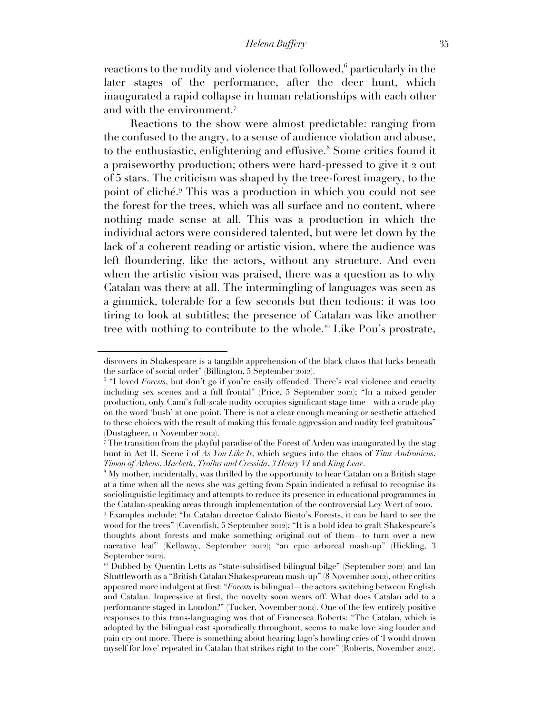reactions to the nudity and violence that followed, $6$  particularly in the later stages of the performance, after the deer hunt, which inaugurated a rapid collapse in human relationships with each other and with the environment.<sup>7</sup>

Reactions to the show were almost predictable: ranging from the confused to the angry, to a sense of audience violation and abuse, to the enthusiastic, enlightening and effusive.<sup>8</sup> Some critics found it a praiseworthy production; others were hard-pressed to give it 2 out of 5 stars. The criticism was shaped by the tree-forest imagery, to the point of cliché.<sup>9</sup> This was a production in which you could not see the forest for the trees, which was all surface and no content, where nothing made sense at all. This was a production in which the individual actors were considered talented, but were let down by the lack of a coherent reading or artistic vision, where the audience was left floundering, like the actors, without any structure. And even when the artistic vision was praised, there was a question as to why Catalan was there at all. The intermingling of languages was seen as a gimmick, tolerable for a few seconds but then tedious: it was too tiring to look at subtitles; the presence of Catalan was like another tree with nothing to contribute to the whole.<sup>10</sup> Like Pou's prostrate,

discovers in Shakespeare is a tangible apprehension of the black chaos that lurks beneath the surface of social order" (Billington, 5 September 2012).

<sup>&</sup>lt;sup>6</sup> "I loved *Forests*, but don't go if you're easily offended. There's real violence and cruelty including sex scenes and a full frontal" (Price, 5 September 2012); "In a mixed gender production, only Camí's full-scale nudity occupies significant stage time—with a crude play on the word 'bush' at one point. There is not a clear enough meaning or aesthetic attached to these choices with the result of making this female aggression and nudity feel gratuitous" (Dustagheer, 11 November 2012).

<sup>7</sup> The transition from the playful paradise of the Forest of Arden was inaugurated by the stag hunt in Act II, Scene i of *As You Like It*, which segues into the chaos of *Titus Andronicus*, *Timon of Athens*, *Macbeth*, *Troilus and Cressida*, *3 Henry VI* and *King Lear*.

<sup>8</sup> My mother, incidentally, was thrilled by the opportunity to hear Catalan on a British stage at a time when all the news she was getting from Spain indicated a refusal to recognise its sociolinguistic legitimacy and attempts to reduce its presence in educational programmes in the Catalan-speaking areas through implementation of the controversial Ley Wert of 2010. <sup>9</sup> Examples include: "In Catalan director Calixto Bieito's Forests, it can be hard to see the

wood for the trees" (Cavendish, 5 September 2012); "It is a bold idea to graft Shakespeare's thoughts about forests and make something original out of them—to turn over a new narrative leaf" (Kellaway, September 2012); "an epic arboreal mash-up" (Hickling, 3 September 2012).

<sup>10</sup> Dubbed by Quentin Letts as "state-subsidised bilingual bilge" (September 2012) and Ian Shuttleworth as a "British Catalan Shakespearean mash-up" (8 November 2012), other critics appeared more indulgent at first: "*Forests* is bilingual—the actors switching between English and Catalan. Impressive at first, the novelty soon wears off. What does Catalan add to a performance staged in London?" (Tucker, November 2012). One of the few entirely positive responses to this trans-languaging was that of Francesca Roberts: "The Catalan, which is adopted by the bilingual cast sporadically throughout, seems to make love sing louder and pain cry out more. There is something about hearing Iago's howling cries of 'I would drown myself for love' repeated in Catalan that strikes right to the core" (Roberts, November 2012).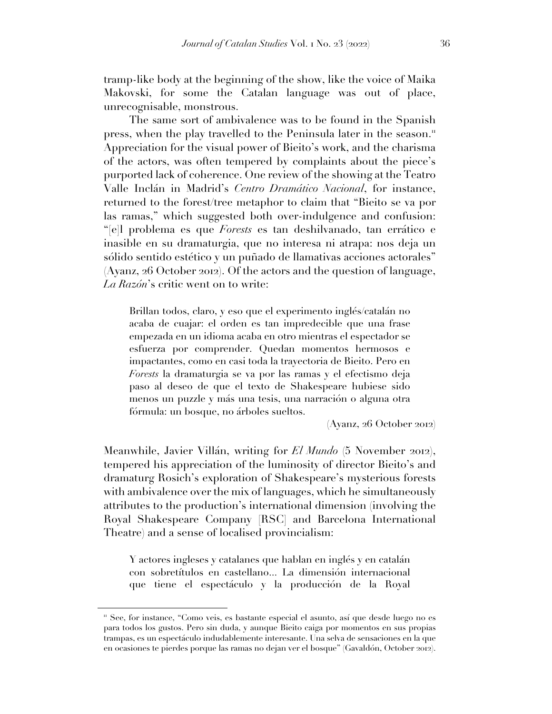tramp-like body at the beginning of the show, like the voice of Maika Makovski, for some the Catalan language was out of place, unrecognisable, monstrous.

The same sort of ambivalence was to be found in the Spanish press, when the play travelled to the Peninsula later in the season.<sup>11</sup> Appreciation for the visual power of Bieito's work, and the charisma of the actors, was often tempered by complaints about the piece's purported lack of coherence. One review of the showing at the Teatro Valle Inclán in Madrid's *Centro Dramático Nacional*, for instance, returned to the forest/tree metaphor to claim that "Bieito se va por las ramas," which suggested both over-indulgence and confusion: "[e]l problema es que *Forests* es tan deshilvanado, tan errático e inasible en su dramaturgia, que no interesa ni atrapa: nos deja un sólido sentido estético y un puñado de llamativas acciones actorales" (Ayanz, 26 October 2012). Of the actors and the question of language, *La Razón*'s critic went on to write:

Brillan todos, claro, y eso que el experimento inglés/catalán no acaba de cuajar: el orden es tan impredecible que una frase empezada en un idioma acaba en otro mientras el espectador se esfuerza por comprender. Quedan momentos hermosos e impactantes, como en casi toda la trayectoria de Bieito. Pero en *Forests* la dramaturgia se va por las ramas y el efectismo deja paso al deseo de que el texto de Shakespeare hubiese sido menos un puzzle y más una tesis, una narración o alguna otra fórmula: un bosque, no árboles sueltos.

(Ayanz, 26 October 2012)

Meanwhile, Javier Villán, writing for *El Mundo* (5 November 2012), tempered his appreciation of the luminosity of director Bieito's and dramaturg Rosich's exploration of Shakespeare's mysterious forests with ambivalence over the mix of languages, which he simultaneously attributes to the production's international dimension (involving the Royal Shakespeare Company [RSC] and Barcelona International Theatre) and a sense of localised provincialism:

Y actores ingleses y catalanes que hablan en inglés y en catalán con sobretítulos en castellano... La dimensión internacional que tiene el espectáculo y la producción de la Royal

<sup>11</sup> See, for instance, "Como veis, es bastante especial el asunto, así que desde luego no es para todos los gustos. Pero sin duda, y aunque Bieito caiga por momentos en sus propias trampas, es un espectáculo indudablemente interesante. Una selva de sensaciones en la que en ocasiones te pierdes porque las ramas no dejan ver el bosque" (Gavaldón, October 2012).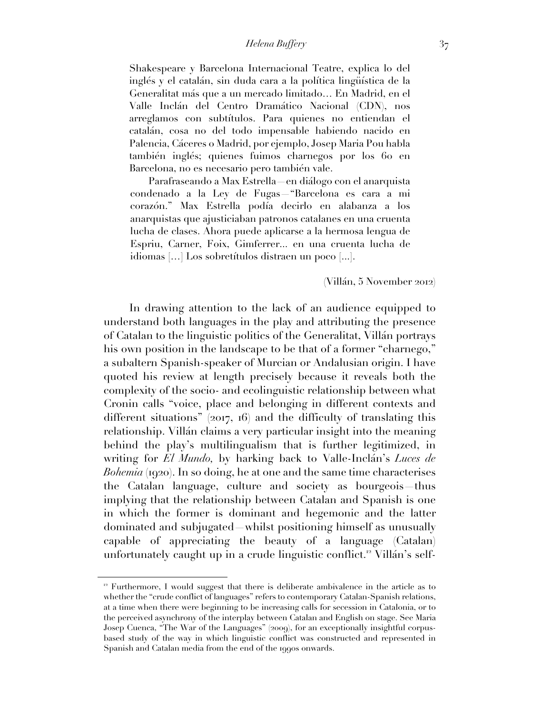Shakespeare y Barcelona Internacional Teatre, explica lo del inglés y el catalán, sin duda cara a la política lingüística de la Generalitat más que a un mercado limitado… En Madrid, en el Valle Inclán del Centro Dramático Nacional (CDN), nos arreglamos con subtítulos. Para quienes no entiendan el catalán, cosa no del todo impensable habiendo nacido en Palencia, Cáceres o Madrid, por ejemplo, Josep Maria Pou habla también inglés; quienes fuimos charnegos por los 60 en Barcelona, no es necesario pero también vale.

Parafraseando a Max Estrella—en diálogo con el anarquista condenado a la Ley de Fugas—"Barcelona es cara a mi corazón." Max Estrella podía decirlo en alabanza a los anarquistas que ajusticiaban patronos catalanes en una cruenta lucha de clases. Ahora puede aplicarse a la hermosa lengua de Espriu, Carner, Foix, Gimferrer... en una cruenta lucha de idiomas […] Los sobretítulos distraen un poco [...].

(Villán, 5 November 2012)

In drawing attention to the lack of an audience equipped to understand both languages in the play and attributing the presence of Catalan to the linguistic politics of the Generalitat, Villán portrays his own position in the landscape to be that of a former "charnego," a subaltern Spanish-speaker of Murcian or Andalusian origin. I have quoted his review at length precisely because it reveals both the complexity of the socio- and ecolinguistic relationship between what Cronin calls "voice, place and belonging in different contexts and different situations" (2017, 16) and the difficulty of translating this relationship. Villán claims a very particular insight into the meaning behind the play's multilingualism that is further legitimized, in writing for *El Mundo,* by harking back to Valle-Inclán's *Luces de Bohemia* (1920). In so doing, he at one and the same time characterises the Catalan language, culture and society as bourgeois—thus implying that the relationship between Catalan and Spanish is one in which the former is dominant and hegemonic and the latter dominated and subjugated—whilst positioning himself as unusually capable of appreciating the beauty of a language (Catalan) unfortunately caught up in a crude linguistic conflict.<sup>12</sup> Villán's self-

 $12$  Furthermore, I would suggest that there is deliberate ambivalence in the article as to whether the "crude conflict of languages" refers to contemporary Catalan-Spanish relations, at a time when there were beginning to be increasing calls for secession in Catalonia, or to the perceived asynchrony of the interplay between Catalan and English on stage. See Maria Josep Cuenca, "The War of the Languages" (2009), for an exceptionally insightful corpusbased study of the way in which linguistic conflict was constructed and represented in Spanish and Catalan media from the end of the 1990s onwards.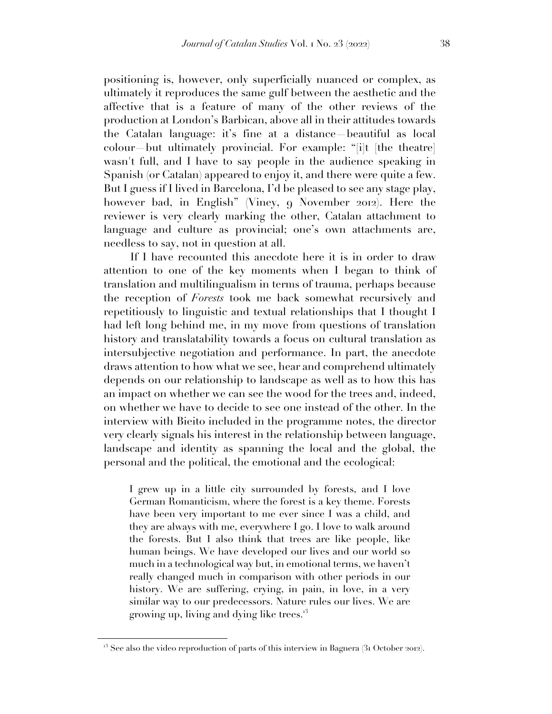positioning is, however, only superficially nuanced or complex, as ultimately it reproduces the same gulf between the aesthetic and the affective that is a feature of many of the other reviews of the production at London's Barbican, above all in their attitudes towards the Catalan language: it's fine at a distance—beautiful as local colour—but ultimately provincial. For example: "[i]t [the theatre] wasn't full, and I have to say people in the audience speaking in Spanish (or Catalan) appeared to enjoy it, and there were quite a few. But I guess if I lived in Barcelona, I'd be pleased to see any stage play, however bad, in English" (Viney, 9 November 2012). Here the reviewer is very clearly marking the other, Catalan attachment to language and culture as provincial; one's own attachments are, needless to say, not in question at all.

If I have recounted this anecdote here it is in order to draw attention to one of the key moments when I began to think of translation and multilingualism in terms of trauma, perhaps because the reception of *Forests* took me back somewhat recursively and repetitiously to linguistic and textual relationships that I thought I had left long behind me, in my move from questions of translation history and translatability towards a focus on cultural translation as intersubjective negotiation and performance. In part, the anecdote draws attention to how what we see, hear and comprehend ultimately depends on our relationship to landscape as well as to how this has an impact on whether we can see the wood for the trees and, indeed, on whether we have to decide to see one instead of the other. In the interview with Bieito included in the programme notes, the director very clearly signals his interest in the relationship between language, landscape and identity as spanning the local and the global, the personal and the political, the emotional and the ecological:

I grew up in a little city surrounded by forests, and I love German Romanticism, where the forest is a key theme. Forests have been very important to me ever since I was a child, and they are always with me, everywhere I go. I love to walk around the forests. But I also think that trees are like people, like human beings. We have developed our lives and our world so much in a technological way but, in emotional terms, we haven't really changed much in comparison with other periods in our history. We are suffering, crying, in pain, in love, in a very similar way to our predecessors. Nature rules our lives. We are growing up, living and dying like trees.<sup>13</sup>

 $13$  See also the video reproduction of parts of this interview in Bagnera (31 October 2012).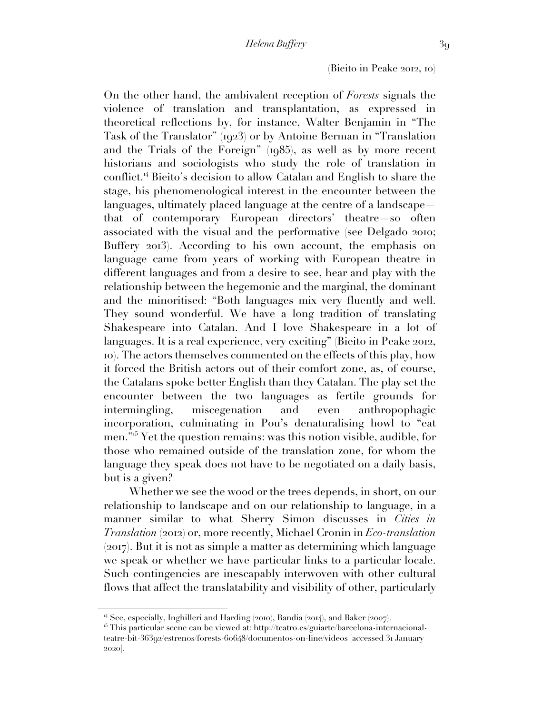#### (Bieito in Peake 2012, 10)

On the other hand, the ambivalent reception of *Forests* signals the violence of translation and transplantation, as expressed in theoretical reflections by, for instance, Walter Benjamin in "The Task of the Translator" (1923) or by Antoine Berman in "Translation and the Trials of the Foreign" (1985), as well as by more recent historians and sociologists who study the role of translation in conflict.<sup>14</sup> Bieito's decision to allow Catalan and English to share the stage, his phenomenological interest in the encounter between the languages, ultimately placed language at the centre of a landscape that of contemporary European directors' theatre—so often

associated with the visual and the performative (see Delgado 2010; Buffery 2013). According to his own account, the emphasis on language came from years of working with European theatre in different languages and from a desire to see, hear and play with the relationship between the hegemonic and the marginal, the dominant and the minoritised: "Both languages mix very fluently and well. They sound wonderful. We have a long tradition of translating Shakespeare into Catalan. And I love Shakespeare in a lot of languages. It is a real experience, very exciting" (Bieito in Peake 2012, 10). The actors themselves commented on the effects of this play, how it forced the British actors out of their comfort zone, as, of course, the Catalans spoke better English than they Catalan. The play set the encounter between the two languages as fertile grounds for intermingling, miscegenation and even anthropophagic incorporation, culminating in Pou's denaturalising howl to "eat men."<sup>15</sup> Yet the question remains: was this notion visible, audible, for those who remained outside of the translation zone, for whom the language they speak does not have to be negotiated on a daily basis, but is a given?

Whether we see the wood or the trees depends, in short, on our relationship to landscape and on our relationship to language, in a manner similar to what Sherry Simon discusses in *Cities in Translation* (2012) or, more recently, Michael Cronin in *Eco-translation*  (2017). But it is not as simple a matter as determining which language we speak or whether we have particular links to a particular locale. Such contingencies are inescapably interwoven with other cultural flows that affect the translatability and visibility of other, particularly

<sup>&</sup>lt;sup>14</sup> See, especially, Inghilleri and Harding (2010), Bandia (2014), and Baker (2007).

<sup>&</sup>lt;sup>15</sup> This particular scene can be viewed at: http://teatro.es/guiarte/barcelona-internacionalteatre-bit-36392/estrenos/forests-60648/documentos-on-line/videos [accessed 31 January 2020].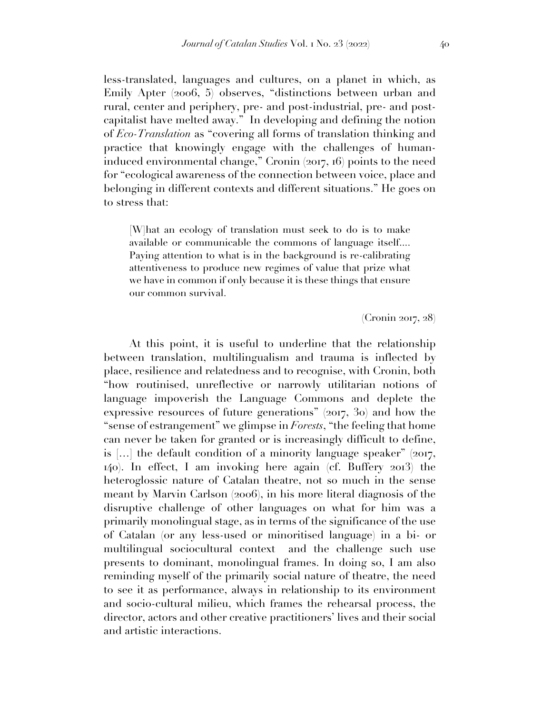less-translated, languages and cultures, on a planet in which, as Emily Apter (2006, 5) observes, "distinctions between urban and rural, center and periphery, pre- and post-industrial, pre- and postcapitalist have melted away." In developing and defining the notion of *Eco-Translation* as "covering all forms of translation thinking and practice that knowingly engage with the challenges of humaninduced environmental change," Cronin (2017, 16) points to the need for "ecological awareness of the connection between voice, place and belonging in different contexts and different situations." He goes on to stress that:

[W]hat an ecology of translation must seek to do is to make available or communicable the commons of language itself.... Paying attention to what is in the background is re-calibrating attentiveness to produce new regimes of value that prize what we have in common if only because it is these things that ensure our common survival.

(Cronin 2017, 28)

At this point, it is useful to underline that the relationship between translation, multilingualism and trauma is inflected by place, resilience and relatedness and to recognise, with Cronin, both "how routinised, unreflective or narrowly utilitarian notions of language impoverish the Language Commons and deplete the expressive resources of future generations" (2017, 30) and how the "sense of estrangement" we glimpse in *Forests*, "the feeling that home can never be taken for granted or is increasingly difficult to define, is [...] the default condition of a minority language speaker"  $(2017, 100)$ 140). In effect, I am invoking here again (cf. Buffery 2013) the heteroglossic nature of Catalan theatre, not so much in the sense meant by Marvin Carlson (2006), in his more literal diagnosis of the disruptive challenge of other languages on what for him was a primarily monolingual stage, as in terms of the significance of the use of Catalan (or any less-used or minoritised language) in a bi- or multilingual sociocultural context and the challenge such use presents to dominant, monolingual frames. In doing so, I am also reminding myself of the primarily social nature of theatre, the need to see it as performance, always in relationship to its environment and socio-cultural milieu, which frames the rehearsal process, the director, actors and other creative practitioners' lives and their social and artistic interactions.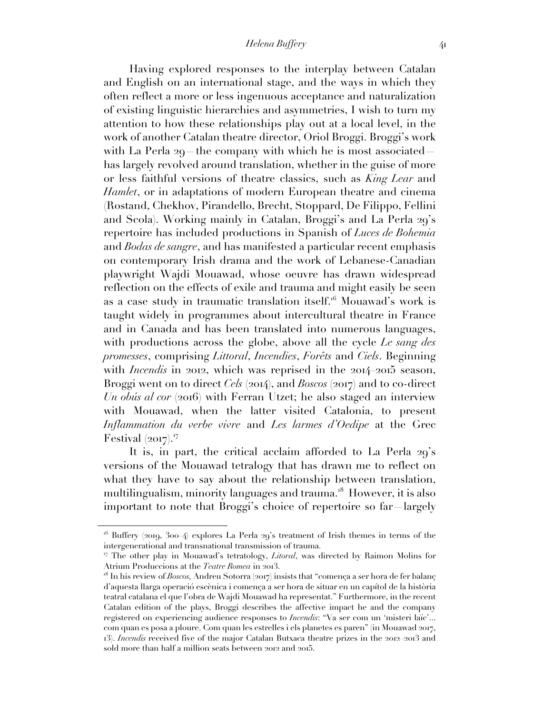Having explored responses to the interplay between Catalan and English on an international stage, and the ways in which they often reflect a more or less ingenuous acceptance and naturalization of existing linguistic hierarchies and asymmetries, I wish to turn my attention to how these relationships play out at a local level, in the work of another Catalan theatre director, Oriol Broggi. Broggi's work with La Perla 29*—*the company with which he is most associated has largely revolved around translation, whether in the guise of more or less faithful versions of theatre classics, such as *King Lear* and *Hamlet*, or in adaptations of modern European theatre and cinema (Rostand, Chekhov, Pirandello, Brecht, Stoppard, De Filippo, Fellini and Scola). Working mainly in Catalan, Broggi's and La Perla 29's repertoire has included productions in Spanish of *Luces de Bohemia*  and *Bodas de sangre*, and has manifested a particular recent emphasis on contemporary Irish drama and the work of Lebanese-Canadian playwright Wajdi Mouawad, whose oeuvre has drawn widespread reflection on the effects of exile and trauma and might easily be seen as a case study in traumatic translation itself.<sup>16</sup> Mouawad's work is taught widely in programmes about intercultural theatre in France and in Canada and has been translated into numerous languages, with productions across the globe, above all the cycle *Le sang des promesses*, comprising *Littoral*, *Incendies*, *Forêts* and *Ciels*. Beginning with *Incendis* in 2012, which was reprised in the 2014–2015 season, Broggi went on to direct *Cels* (2014), and *Boscos* (2017) and to co-direct *Un obús al cor* (2016) with Ferran Utzet; he also staged an interview with Mouawad, when the latter visited Catalonia, to present *Inflammation du verbe vivre* and *Les larmes d'Oedipe* at the Grec Festival  $(2017).$ <sup>17</sup>

It is, in part, the critical acclaim afforded to La Perla 29's versions of the Mouawad tetralogy that has drawn me to reflect on what they have to say about the relationship between translation, multilingualism, minority languages and trauma.<sup>18</sup> However, it is also important to note that Broggi's choice of repertoire so far—largely

 $16$  Buffery (2019, 300–4) explores La Perla 29's treatment of Irish themes in terms of the intergenerational and transnational transmission of trauma.

<sup>17</sup> The other play in Mouawad's tetratology, *Litoral*, was directed by Raimon Molins for Atrium Produccions at the *Teatre Romea* in 2013.

<sup>18</sup> In his review of *Boscos,* Andreu Sotorra (2017) insists that "comença a ser hora de fer balanç d'aquesta llarga operació escènica i comença a ser hora de situar en un capítol de la història teatral catalana el que l'obra de Wajdi Mouawad ha representat." Furthermore, in the recent Catalan edition of the plays, Broggi describes the affective impact he and the company registered on experiencing audience responses to *Incendis*: "Va ser com un 'misteri laïc'... com quan es posa a ploure. Com quan les estrelles i els planetes es paren" (in Mouawad 2017, 13). *Incendis* received five of the major Catalan Butxaca theatre prizes in the 2012–2013 and sold more than half a million seats between 2012 and 2015.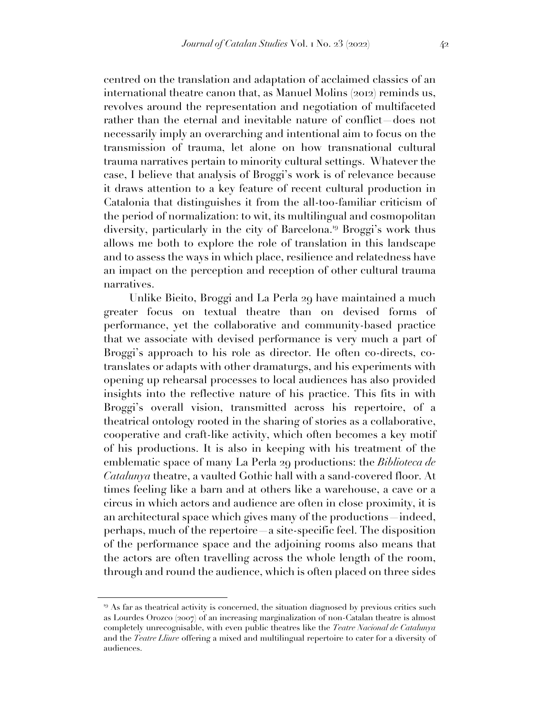centred on the translation and adaptation of acclaimed classics of an international theatre canon that, as Manuel Molins (2012) reminds us, revolves around the representation and negotiation of multifaceted rather than the eternal and inevitable nature of conflict—does not necessarily imply an overarching and intentional aim to focus on the transmission of trauma, let alone on how transnational cultural trauma narratives pertain to minority cultural settings. Whatever the case, I believe that analysis of Broggi's work is of relevance because it draws attention to a key feature of recent cultural production in Catalonia that distinguishes it from the all-too-familiar criticism of the period of normalization: to wit, its multilingual and cosmopolitan diversity, particularly in the city of Barcelona.<sup>19</sup> Broggi's work thus allows me both to explore the role of translation in this landscape and to assess the ways in which place, resilience and relatedness have an impact on the perception and reception of other cultural trauma narratives.

Unlike Bieito, Broggi and La Perla 29 have maintained a much greater focus on textual theatre than on devised forms of performance, yet the collaborative and community-based practice that we associate with devised performance is very much a part of Broggi's approach to his role as director. He often co-directs, cotranslates or adapts with other dramaturgs, and his experiments with opening up rehearsal processes to local audiences has also provided insights into the reflective nature of his practice. This fits in with Broggi's overall vision, transmitted across his repertoire, of a theatrical ontology rooted in the sharing of stories as a collaborative, cooperative and craft-like activity, which often becomes a key motif of his productions. It is also in keeping with his treatment of the emblematic space of many La Perla 29 productions: the *Biblioteca de Catalunya* theatre, a vaulted Gothic hall with a sand-covered floor. At times feeling like a barn and at others like a warehouse, a cave or a circus in which actors and audience are often in close proximity, it is an architectural space which gives many of the productions—indeed, perhaps, much of the repertoire—a site-specific feel. The disposition of the performance space and the adjoining rooms also means that the actors are often travelling across the whole length of the room, through and round the audience, which is often placed on three sides

<sup>&</sup>lt;sup>19</sup> As far as theatrical activity is concerned, the situation diagnosed by previous critics such as Lourdes Orozco (2007) of an increasing marginalization of non-Catalan theatre is almost completely unrecognisable, with even public theatres like the *Teatre Nacional de Catalunya* and the *Teatre Lliure* offering a mixed and multilingual repertoire to cater for a diversity of audiences.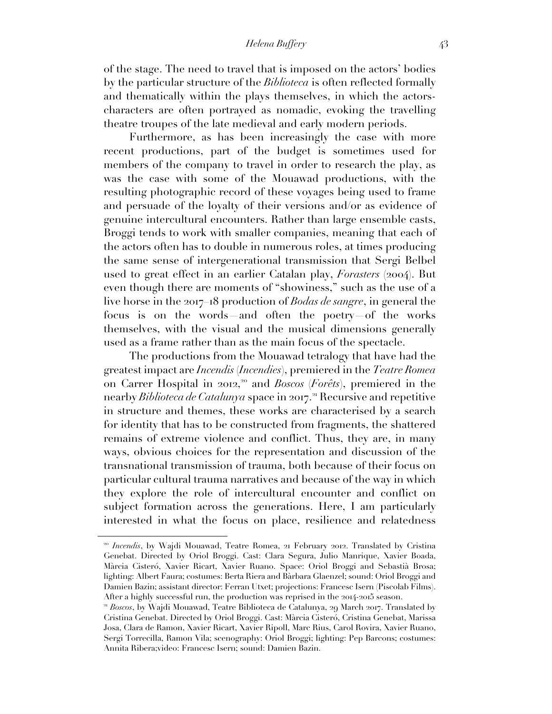*Helena Buffery* 43

of the stage. The need to travel that is imposed on the actors' bodies by the particular structure of the *Biblioteca* is often reflected formally and thematically within the plays themselves, in which the actorscharacters are often portrayed as nomadic, evoking the travelling theatre troupes of the late medieval and early modern periods.

Furthermore, as has been increasingly the case with more recent productions, part of the budget is sometimes used for members of the company to travel in order to research the play, as was the case with some of the Mouawad productions, with the resulting photographic record of these voyages being used to frame and persuade of the loyalty of their versions and/or as evidence of genuine intercultural encounters. Rather than large ensemble casts, Broggi tends to work with smaller companies, meaning that each of the actors often has to double in numerous roles, at times producing the same sense of intergenerational transmission that Sergi Belbel used to great effect in an earlier Catalan play, *Forasters* (2004). But even though there are moments of "showiness," such as the use of a live horse in the 2017–18 production of *Bodas de sangre*, in general the focus is on the words—and often the poetry—of the works themselves, with the visual and the musical dimensions generally used as a frame rather than as the main focus of the spectacle.

The productions from the Mouawad tetralogy that have had the greatest impact are *Incendis* (*Incendies*), premiered in the *Teatre Romea* on Carrer Hospital in 2012, <sup>20</sup> and *Boscos* (*Forêts*), premiered in the nearby *Biblioteca de Catalunya* space in 2017. <sup>21</sup> Recursive and repetitive in structure and themes, these works are characterised by a search for identity that has to be constructed from fragments, the shattered remains of extreme violence and conflict. Thus, they are, in many ways, obvious choices for the representation and discussion of the transnational transmission of trauma, both because of their focus on particular cultural trauma narratives and because of the way in which they explore the role of intercultural encounter and conflict on subject formation across the generations. Here, I am particularly interested in what the focus on place, resilience and relatedness

<sup>&</sup>lt;sup>20</sup> *Incendis*, by Wajdi Mouawad, Teatre Romea, 21 February 2012. Translated by Cristina Genebat. Directed by Oriol Broggi. Cast: Clara Segura, Julio Manrique, Xavier Boada, Màrcia Cisteró, Xavier Ricart, Xavier Ruano. Space: Oriol Broggi and Sebastià Brosa; lighting: Albert Faura; costumes: Berta Riera and Bàrbara Glaenzel; sound: Oriol Broggi and Damien Bazin; assistant director: Ferran Utxet; projections: Francesc Isern (Piscolab Films). After a highly successful run, the production was reprised in the 2014-2015 season.

<sup>21</sup> *Boscos*, by Wajdi Mouawad, Teatre Biblioteca de Catalunya, 29 March 2017. Translated by Cristina Genebat. Directed by Oriol Broggi. Cast: Màrcia Cisteró, Cristina Genebat, Marissa Josa, Clara de Ramon, Xavier Ricart, Xavier Ripoll, Marc Rius, Carol Rovira, Xavier Ruano, Sergi Torrecilla, Ramon Vila; scenography: Oriol Broggi; lighting: Pep Barcons; costumes: Annita Ribera;video: Francesc Isern; sound: Damien Bazin.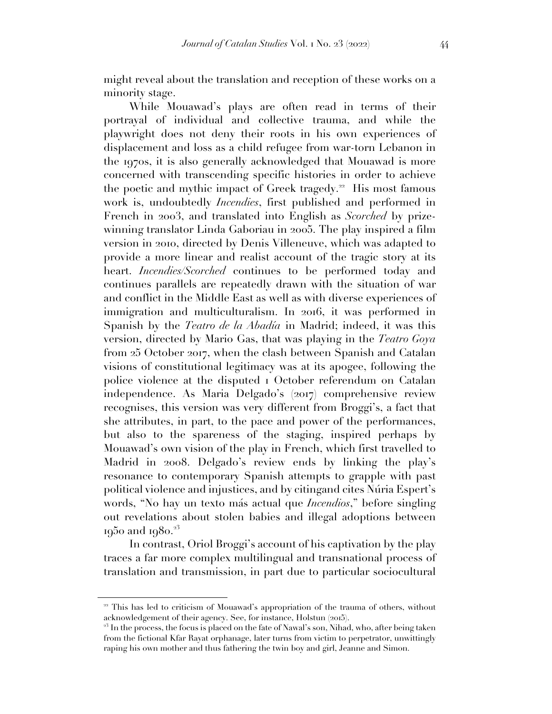might reveal about the translation and reception of these works on a minority stage.

While Mouawad's plays are often read in terms of their portrayal of individual and collective trauma, and while the playwright does not deny their roots in his own experiences of displacement and loss as a child refugee from war-torn Lebanon in the 1970s, it is also generally acknowledged that Mouawad is more concerned with transcending specific histories in order to achieve the poetic and mythic impact of Greek tragedy.<sup>22</sup> His most famous work is, undoubtedly *Incendies*, first published and performed in French in 2003, and translated into English as *Scorched* by prizewinning translator Linda Gaboriau in 2005. The play inspired a film version in 2010, directed by Denis Villeneuve, which was adapted to provide a more linear and realist account of the tragic story at its heart. *Incendies/Scorched* continues to be performed today and continues parallels are repeatedly drawn with the situation of war and conflict in the Middle East as well as with diverse experiences of immigration and multiculturalism. In 2016, it was performed in Spanish by the *Teatro de la Abadía* in Madrid; indeed, it was this version, directed by Mario Gas, that was playing in the *Teatro Goya* from 25 October 2017, when the clash between Spanish and Catalan visions of constitutional legitimacy was at its apogee, following the police violence at the disputed 1 October referendum on Catalan independence. As Maria Delgado's (2017) comprehensive review recognises, this version was very different from Broggi's, a fact that she attributes, in part, to the pace and power of the performances, but also to the spareness of the staging, inspired perhaps by Mouawad's own vision of the play in French, which first travelled to Madrid in 2008. Delgado's review ends by linking the play's resonance to contemporary Spanish attempts to grapple with past political violence and injustices, and by citingand cites Núria Espert's words, "No hay un texto más actual que *Incendios*," before singling out revelations about stolen babies and illegal adoptions between 1950 and 1980.<sup>23</sup>

In contrast, Oriol Broggi's account of his captivation by the play traces a far more complex multilingual and transnational process of translation and transmission, in part due to particular sociocultural

<sup>&</sup>lt;sup>22</sup> This has led to criticism of Mouawad's appropriation of the trauma of others, without acknowledgement of their agency. See, for instance, Holstun (2015).

<sup>&</sup>lt;sup>23</sup> In the process, the focus is placed on the fate of Nawal's son, Nihad, who, after being taken from the fictional Kfar Rayat orphanage, later turns from victim to perpetrator, unwittingly raping his own mother and thus fathering the twin boy and girl, Jeanne and Simon.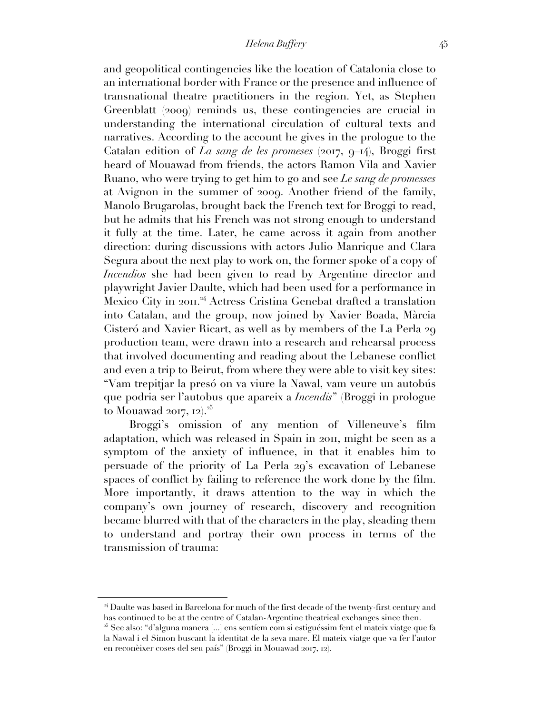and geopolitical contingencies like the location of Catalonia close to an international border with France or the presence and influence of transnational theatre practitioners in the region. Yet, as Stephen Greenblatt (2009) reminds us, these contingencies are crucial in understanding the international circulation of cultural texts and narratives. According to the account he gives in the prologue to the Catalan edition of *La sang de les promeses* (2017, 9–14), Broggi first heard of Mouawad from friends, the actors Ramon Vila and Xavier Ruano, who were trying to get him to go and see *Le sang de promesses* at Avignon in the summer of 2009. Another friend of the family, Manolo Brugarolas, brought back the French text for Broggi to read, but he admits that his French was not strong enough to understand it fully at the time. Later, he came across it again from another direction: during discussions with actors Julio Manrique and Clara Segura about the next play to work on, the former spoke of a copy of *Incendios* she had been given to read by Argentine director and playwright Javier Daulte, which had been used for a performance in Mexico City in 2011.<sup>24</sup> Actress Cristina Genebat drafted a translation into Catalan, and the group, now joined by Xavier Boada, Màrcia Cisteró and Xavier Ricart, as well as by members of the La Perla 29 production team, were drawn into a research and rehearsal process that involved documenting and reading about the Lebanese conflict and even a trip to Beirut, from where they were able to visit key sites: "Vam trepitjar la presó on va viure la Nawal, vam veure un autobús que podria ser l'autobus que apareix a *Incendis*" (Broggi in prologue to Mouawad 2017,  $12)^{25}$ 

Broggi's omission of any mention of Villeneuve's film adaptation, which was released in Spain in 2011, might be seen as a symptom of the anxiety of influence, in that it enables him to persuade of the priority of La Perla 29's excavation of Lebanese spaces of conflict by failing to reference the work done by the film. More importantly, it draws attention to the way in which the company's own journey of research, discovery and recognition became blurred with that of the characters in the play, sleading them to understand and portray their own process in terms of the transmission of trauma:

<sup>&</sup>lt;sup>24</sup> Daulte was based in Barcelona for much of the first decade of the twenty-first century and has continued to be at the centre of Catalan-Argentine theatrical exchanges since then.

<sup>25</sup> See also: "d'alguna manera [...] ens sentíem com si estiguéssim fent el mateix viatge que fa la Nawal i el Simon buscant la identitat de la seva mare. El mateix viatge que va fer l'autor en reconèixer coses del seu país" (Broggi in Mouawad 2017, 12).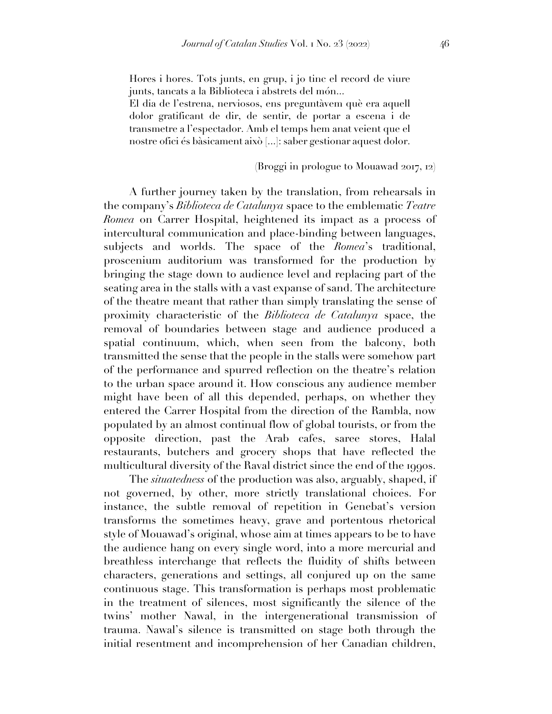Hores i hores. Tots junts, en grup, i jo tinc el record de viure junts, tancats a la Biblioteca i abstrets del món...

El dia de l'estrena, nerviosos, ens preguntàvem què era aquell dolor gratificant de dir, de sentir, de portar a escena i de transmetre a l'espectador. Amb el temps hem anat veient que el nostre ofici és bàsicament això [...]: saber gestionar aquest dolor.

### (Broggi in prologue to Mouawad 2017, 12)

A further journey taken by the translation, from rehearsals in the company's *Biblioteca de Catalunya* space to the emblematic *Teatre Romea* on Carrer Hospital, heightened its impact as a process of intercultural communication and place-binding between languages, subjects and worlds. The space of the *Romea*'s traditional, proscenium auditorium was transformed for the production by bringing the stage down to audience level and replacing part of the seating area in the stalls with a vast expanse of sand. The architecture of the theatre meant that rather than simply translating the sense of proximity characteristic of the *Biblioteca de Catalunya* space, the removal of boundaries between stage and audience produced a spatial continuum, which, when seen from the balcony, both transmitted the sense that the people in the stalls were somehow part of the performance and spurred reflection on the theatre's relation to the urban space around it. How conscious any audience member might have been of all this depended, perhaps, on whether they entered the Carrer Hospital from the direction of the Rambla, now populated by an almost continual flow of global tourists, or from the opposite direction, past the Arab cafes, saree stores, Halal restaurants, butchers and grocery shops that have reflected the multicultural diversity of the Raval district since the end of the 1990s.

The *situatedness* of the production was also, arguably, shaped, if not governed, by other, more strictly translational choices. For instance, the subtle removal of repetition in Genebat's version transforms the sometimes heavy, grave and portentous rhetorical style of Mouawad's original, whose aim at times appears to be to have the audience hang on every single word, into a more mercurial and breathless interchange that reflects the fluidity of shifts between characters, generations and settings, all conjured up on the same continuous stage. This transformation is perhaps most problematic in the treatment of silences, most significantly the silence of the twins' mother Nawal, in the intergenerational transmission of trauma. Nawal's silence is transmitted on stage both through the initial resentment and incomprehension of her Canadian children,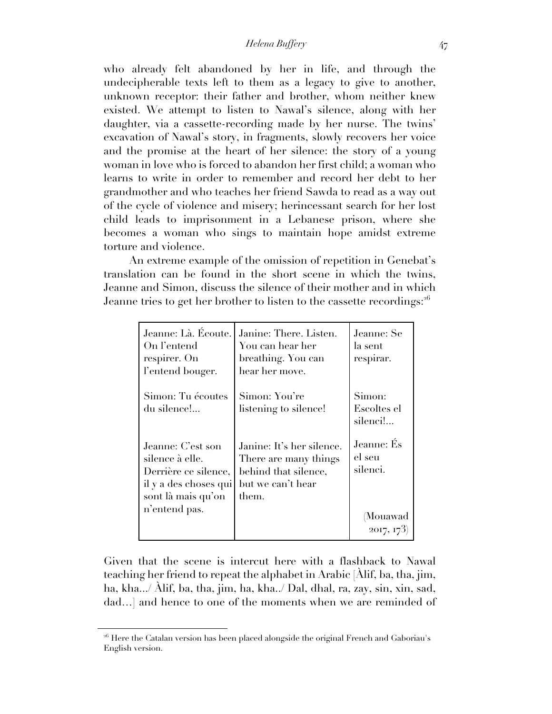who already felt abandoned by her in life, and through the undecipherable texts left to them as a legacy to give to another, unknown receptor: their father and brother, whom neither knew existed. We attempt to listen to Nawal's silence, along with her daughter, via a cassette-recording made by her nurse. The twins' excavation of Nawal's story, in fragments, slowly recovers her voice and the promise at the heart of her silence: the story of a young woman in love who is forced to abandon her first child; a woman who learns to write in order to remember and record her debt to her grandmother and who teaches her friend Sawda to read as a way out of the cycle of violence and misery; herincessant search for her lost child leads to imprisonment in a Lebanese prison, where she becomes a woman who sings to maintain hope amidst extreme torture and violence.

An extreme example of the omission of repetition in Genebat's translation can be found in the short scene in which the twins, Jeanne and Simon, discuss the silence of their mother and in which Jeanne tries to get her brother to listen to the cassette recordings:<sup>26</sup>

| Jeanne: Là. Écoute.<br>On l'entend<br>respirer. On<br>l'entend bouger.                                      | Janine: There. Listen.<br>You can hear her<br>breathing. You can<br>hear her move.                       | Jeanne: Se<br>la sent<br>respirar. |
|-------------------------------------------------------------------------------------------------------------|----------------------------------------------------------------------------------------------------------|------------------------------------|
| Simon: Tu écoutes<br>du silence!                                                                            | Simon: You're<br>listening to silence!                                                                   | Simon:<br>Escoltes el<br>silenci!  |
| Jeanne: C'est son<br>silence à elle.<br>Derrière ce silence,<br>il y a des choses qui<br>sont là mais qu'on | Janine: It's her silence.<br>There are many things<br>behind that silence,<br>but we can't hear<br>them. | Jeanne: És<br>el seu<br>silenci.   |
| n'entend pas.                                                                                               |                                                                                                          | (Mouawad<br>2017, 173              |

Given that the scene is intercut here with a flashback to Nawal teaching her friend to repeat the alphabet in Arabic [Àlif, ba, tha, jim, ha, kha.../ Àlif, ba, tha, jim, ha, kha../ Dal, dhal, ra, zay, sin, xin, sad, dad…] and hence to one of the moments when we are reminded of

<sup>&</sup>lt;sup>26</sup> Here the Catalan version has been placed alongside the original French and Gaboriau's English version.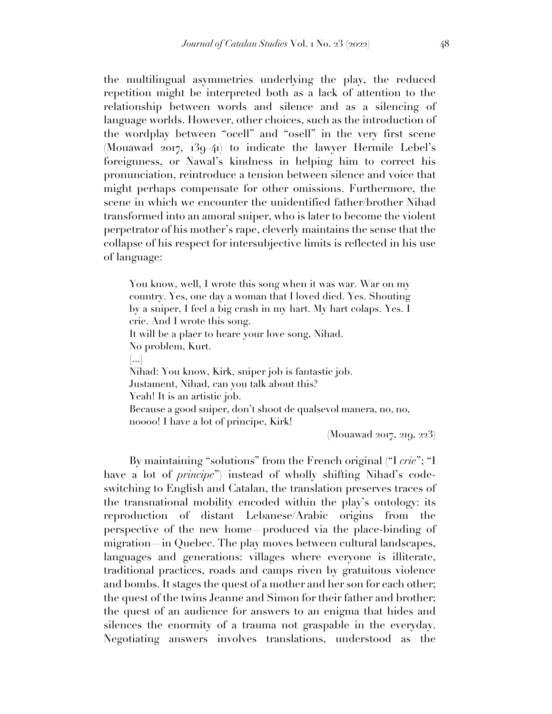the multilingual asymmetries underlying the play, the reduced repetition might be interpreted both as a lack of attention to the relationship between words and silence and as a silencing of language worlds. However, other choices, such as the introduction of the wordplay between "ocell" and "osell" in the very first scene (Mouawad 2017, 139–41) to indicate the lawyer Hermile Lebel's foreignness, or Nawal's kindness in helping him to correct his pronunciation, reintroduce a tension between silence and voice that might perhaps compensate for other omissions. Furthermore, the scene in which we encounter the unidentified father/brother Nihad transformed into an amoral sniper, who is later to become the violent perpetrator of his mother's rape, cleverly maintains the sense that the collapse of his respect for intersubjective limits is reflected in his use of language:

You know, well, I wrote this song when it was war. War on my country. Yes, one day a woman that I loved died. Yes. Shouting by a sniper, I feel a big crash in my hart. My hart colaps. Yes. I crie. And I wrote this song. It will be a plaer to heare your love song, Nihad. No problem, Kurt. [...] Nihad: You know, Kirk, sniper job is fantastic job. Justament, Nihad, can you talk about this? Yeah! It is an artistic job. Because a good sniper, don't shoot de qualsevol manera, no, no, noooo! I have a lot of principe, Kirk!

(Mouawad 2017, 219, 223)

By maintaining "solutions" from the French original ("I *crie*"; "I have a lot of *principe*") instead of wholly shifting Nihad's codeswitching to English and Catalan, the translation preserves traces of the transnational mobility encoded within the play's ontology: its reproduction of distant Lebanese/Arabic origins from the perspective of the new home—produced via the place-binding of migration—in Quebec. The play moves between cultural landscapes, languages and generations: villages where everyone is illiterate, traditional practices, roads and camps riven by gratuitous violence and bombs. It stages the quest of a mother and her son for each other; the quest of the twins Jeanne and Simon for their father and brother; the quest of an audience for answers to an enigma that hides and silences the enormity of a trauma not graspable in the everyday. Negotiating answers involves translations, understood as the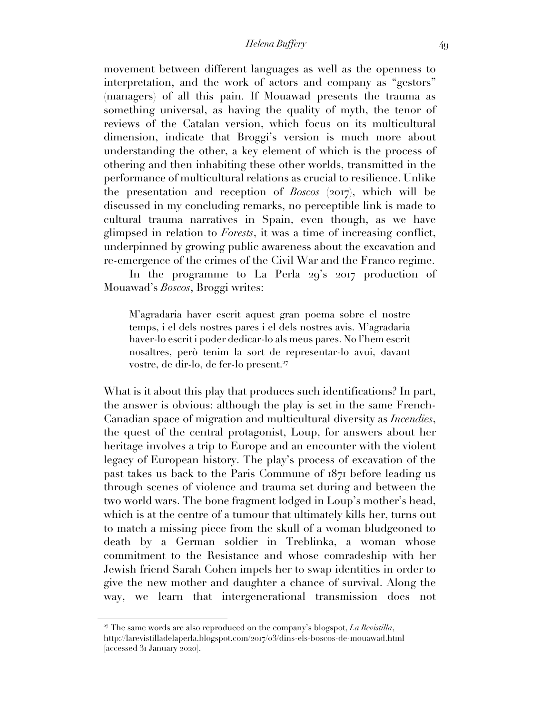movement between different languages as well as the openness to interpretation, and the work of actors and company as "gestors" (managers) of all this pain. If Mouawad presents the trauma as something universal, as having the quality of myth, the tenor of reviews of the Catalan version, which focus on its multicultural dimension, indicate that Broggi's version is much more about understanding the other, a key element of which is the process of othering and then inhabiting these other worlds, transmitted in the performance of multicultural relations as crucial to resilience. Unlike the presentation and reception of *Boscos* (2017), which will be discussed in my concluding remarks, no perceptible link is made to cultural trauma narratives in Spain, even though, as we have glimpsed in relation to *Forests*, it was a time of increasing conflict, underpinned by growing public awareness about the excavation and re-emergence of the crimes of the Civil War and the Franco regime.

In the programme to La Perla 29's 2017 production of Mouawad's *Boscos*, Broggi writes:

M'agradaria haver escrit aquest gran poema sobre el nostre temps, i el dels nostres pares i el dels nostres avis. M'agradaria haver-lo escrit i poder dedicar-lo als meus pares. No l'hem escrit nosaltres, però tenim la sort de representar-lo avui, davant vostre, de dir-lo, de fer-lo present.<sup>27</sup>

What is it about this play that produces such identifications? In part, the answer is obvious: although the play is set in the same French-Canadian space of migration and multicultural diversity as *Incendies*, the quest of the central protagonist, Loup, for answers about her heritage involves a trip to Europe and an encounter with the violent legacy of European history. The play's process of excavation of the past takes us back to the Paris Commune of 1871 before leading us through scenes of violence and trauma set during and between the two world wars. The bone fragment lodged in Loup's mother's head, which is at the centre of a tumour that ultimately kills her, turns out to match a missing piece from the skull of a woman bludgeoned to death by a German soldier in Treblinka, a woman whose commitment to the Resistance and whose comradeship with her Jewish friend Sarah Cohen impels her to swap identities in order to give the new mother and daughter a chance of survival. Along the way, we learn that intergenerational transmission does not

<sup>&</sup>lt;sup>27</sup> The same words are also reproduced on the company's blogspot, *La Revistilla*, http://larevistilladelaperla.blogspot.com/2017/03/dins-els-boscos-de-mouawad.html [accessed 31 January 2020].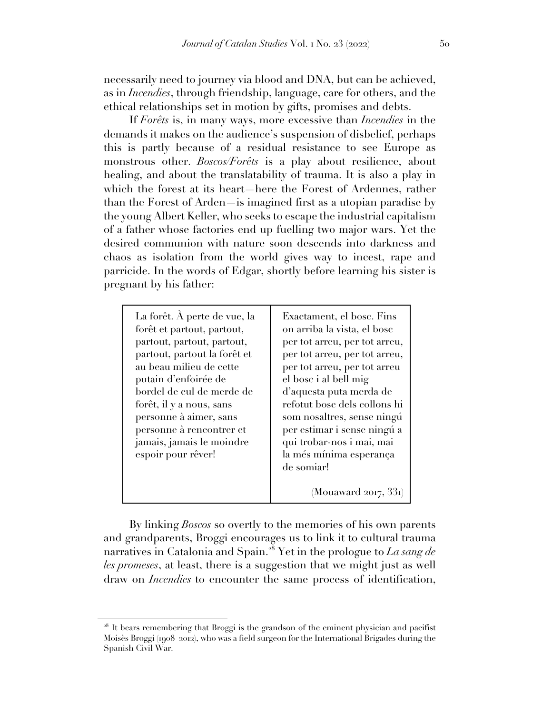necessarily need to journey via blood and DNA, but can be achieved, as in *Incendies*, through friendship, language, care for others, and the ethical relationships set in motion by gifts, promises and debts.

If *Forêts* is, in many ways, more excessive than *Incendies* in the demands it makes on the audience's suspension of disbelief, perhaps this is partly because of a residual resistance to see Europe as monstrous other. *Boscos/Forêts* is a play about resilience, about healing, and about the translatability of trauma. It is also a play in which the forest at its heart—here the Forest of Ardennes, rather than the Forest of Arden—is imagined first as a utopian paradise by the young Albert Keller, who seeks to escape the industrial capitalism of a father whose factories end up fuelling two major wars. Yet the desired communion with nature soon descends into darkness and chaos as isolation from the world gives way to incest, rape and parricide. In the words of Edgar, shortly before learning his sister is pregnant by his father:

| La forêt. À perte de vue, la<br>forêt et partout, partout,<br>partout, partout, partout,<br>partout, partout la forêt et<br>au beau milieu de cette<br>putain d'enfoirée de<br>bordel de cul de merde de<br>forêt, il y a nous, sans<br>personne à aimer, sans<br>personne à rencontrer et<br>jamais, jamais le moindre<br>espoir pour rêver! | Exactament, el bosc. Fins<br>on arriba la vista, el bosc<br>per tot arreu, per tot arreu,<br>per tot arreu, per tot arreu,<br>per tot arreu, per tot arreu<br>el bosc i al bell mig<br>d'aquesta puta merda de<br>refotut bosc dels collons hi<br>som nosaltres, sense ningú<br>per estimar i sense ningú a<br>qui trobar-nos i mai, mai<br>la més mínima esperança<br>de somiar! |
|-----------------------------------------------------------------------------------------------------------------------------------------------------------------------------------------------------------------------------------------------------------------------------------------------------------------------------------------------|-----------------------------------------------------------------------------------------------------------------------------------------------------------------------------------------------------------------------------------------------------------------------------------------------------------------------------------------------------------------------------------|
|                                                                                                                                                                                                                                                                                                                                               | (Mouaward 2017, 331)                                                                                                                                                                                                                                                                                                                                                              |

By linking *Boscos* so overtly to the memories of his own parents and grandparents, Broggi encourages us to link it to cultural trauma narratives in Catalonia and Spain. <sup>28</sup> Yet in the prologue to *La sang de les promeses*, at least, there is a suggestion that we might just as well draw on *Incendies* to encounter the same process of identification,

<sup>&</sup>lt;sup>28</sup> It bears remembering that Broggi is the grandson of the eminent physician and pacifist Moisès Broggi (1908–2012), who was a field surgeon for the International Brigades during the Spanish Civil War.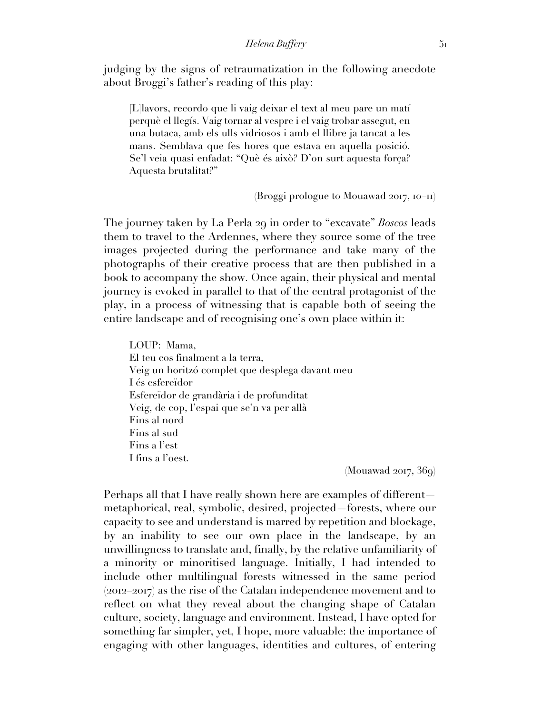judging by the signs of retraumatization in the following anecdote about Broggi's father's reading of this play:

[L]lavors, recordo que li vaig deixar el text al meu pare un matí perquè el llegís. Vaig tornar al vespre i el vaig trobar assegut, en una butaca, amb els ulls vidriosos i amb el llibre ja tancat a les mans. Semblava que fes hores que estava en aquella posició. Se'l veia quasi enfadat: "Què és això? D'on surt aquesta força? Aquesta brutalitat?"

(Broggi prologue to Mouawad 2017, 10–11)

The journey taken by La Perla 29 in order to "excavate" *Boscos* leads them to travel to the Ardennes, where they source some of the tree images projected during the performance and take many of the photographs of their creative process that are then published in a book to accompany the show. Once again, their physical and mental journey is evoked in parallel to that of the central protagonist of the play, in a process of witnessing that is capable both of seeing the entire landscape and of recognising one's own place within it:

LOUP: Mama, El teu cos finalment a la terra, Veig un horitzó complet que desplega davant meu I és esfereïdor Esfereïdor de grandària i de profunditat Veig, de cop, l'espai que se'n va per allà Fins al nord Fins al sud Fins a l'est I fins a l'oest.

 $(Mouawad 2017, 369)$ 

Perhaps all that I have really shown here are examples of different metaphorical, real, symbolic, desired, projected—forests, where our capacity to see and understand is marred by repetition and blockage, by an inability to see our own place in the landscape, by an unwillingness to translate and, finally, by the relative unfamiliarity of a minority or minoritised language. Initially, I had intended to include other multilingual forests witnessed in the same period  $(2012–2017)$  as the rise of the Catalan independence movement and to reflect on what they reveal about the changing shape of Catalan culture, society, language and environment. Instead, I have opted for something far simpler, yet, I hope, more valuable: the importance of engaging with other languages, identities and cultures, of entering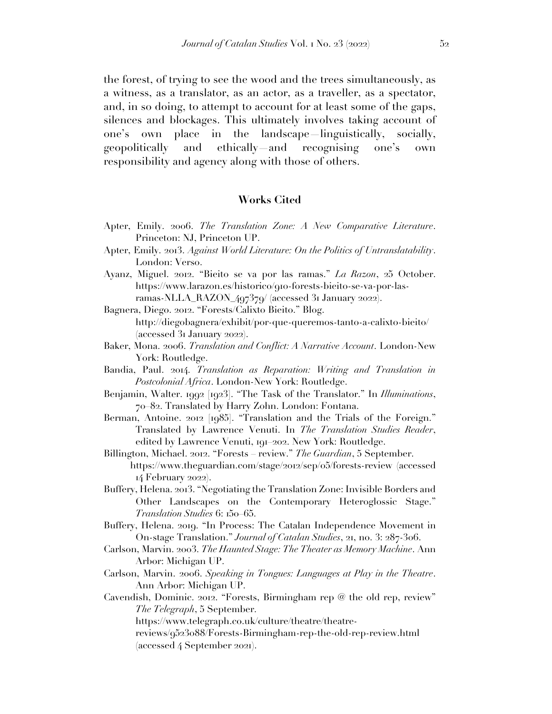the forest, of trying to see the wood and the trees simultaneously, as a witness, as a translator, as an actor, as a traveller, as a spectator, and, in so doing, to attempt to account for at least some of the gaps, silences and blockages. This ultimately involves taking account of one's own place in the landscape—linguistically, socially, geopolitically and ethically—and recognising one's own responsibility and agency along with those of others.

### **Works Cited**

- Apter, Emily. 2006. *The Translation Zone: A New Comparative Literature*. Princeton: NJ, Princeton UP.
- Apter, Emily. 2013. *Against World Literature: On the Politics of Untranslatability*. London: Verso.
- Ayanz, Miguel. 2012. "Bieito se va por las ramas." *La Razon*, 25 October. https://www.larazon.es/historico/910-forests-bieito-se-va-por-lasramas-NLLA\_RAZON\_497379/ (accessed 31 January 2022).
- Bagnera, Diego. 2012. "Forests/Calixto Bieito." Blog. http://diegobagnera/exhibit/por-que-queremos-tanto-a-calixto-bieito/ (accessed 31 January 2022).
- Baker, Mona. 2006. *Translation and Conflict: A Narrative Account*. London-New York: Routledge.
- Bandia, Paul. 2014. *Translation as Reparation: Writing and Translation in Postcolonial Africa*. London-New York: Routledge.
- Benjamin, Walter. 1992 [1923]. "The Task of the Translator." In *Illuminations*, 70–82. Translated by Harry Zohn. London: Fontana.
- Berman, Antoine. 2012 [1985]. "Translation and the Trials of the Foreign." Translated by Lawrence Venuti. In *The Translation Studies Reader*, edited by Lawrence Venuti, 191–202. New York: Routledge.
- Billington, Michael. 2012. "Forests review." *The Guardian*, 5 September. https://www.theguardian.com/stage/2012/sep/05/forests-review (accessed 14 February 2022).
- Buffery, Helena. 2013. "Negotiating the Translation Zone: Invisible Borders and Other Landscapes on the Contemporary Heteroglossic Stage." *Translation Studies* 6: 150–65.
- Buffery, Helena. 2019. "In Process: The Catalan Independence Movement in On-stage Translation." *Journal of Catalan Studies*, 21, no. 3: 287-306.
- Carlson, Marvin. 2003. *The Haunted Stage: The Theater as Memory Machine*. Ann Arbor: Michigan UP.
- Carlson, Marvin. 2006. *Speaking in Tongues: Languages at Play in the Theatre*. Ann Arbor: Michigan UP.
- Cavendish, Dominic. 2012. "Forests, Birmingham rep @ the old rep, review" *The Telegraph*, 5 September.

https://www.telegraph.co.uk/culture/theatre/theatre-

reviews/9523088/Forests-Birmingham-rep-the-old-rep-review.html (accessed 4 September 2021).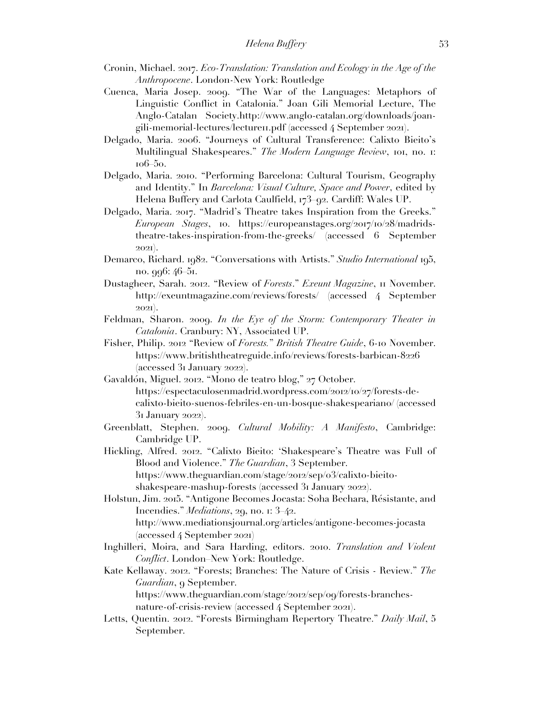- Cronin, Michael. 2017. *Eco-Translation: Translation and Ecology in the Age of the Anthropocene*. London-New York: Routledge
- Cuenca, Maria Josep. 2009. "The War of the Languages: Metaphors of Linguistic Conflict in Catalonia." Joan Gili Memorial Lecture, The Anglo-Catalan Society.http://www.anglo-catalan.org/downloads/joangili-memorial-lectures/lecture11.pdf (accessed 4 September 2021).
- Delgado, Maria. 2006. "Journeys of Cultural Transference: Calixto Bieito's Multilingual Shakespeares." *The Modern Language Review*, 101, no. 1: 106–50.
- Delgado, Maria. 2010. "Performing Barcelona: Cultural Tourism, Geography and Identity." In *Barcelona: Visual Culture, Space and Power*, edited by Helena Buffery and Carlota Caulfield, 173–92. Cardiff: Wales UP.
- Delgado, Maria. 2017. "Madrid's Theatre takes Inspiration from the Greeks." *European Stages*, 10. https://europeanstages.org/2017/10/28/madridstheatre-takes-inspiration-from-the-greeks/ (accessed 6 September 2021).
- Demarco, Richard. 1982. "Conversations with Artists." *Studio International* 195, no. 996: 46–51.
- Dustagheer, Sarah. 2012. "Review of *Forests*." *Exeunt Magazine*, 11 November. http://exeuntmagazine.com/reviews/forests/ (accessed 4 September 2021).
- Feldman, Sharon. 2009. *In the Eye of the Storm: Contemporary Theater in Catalonia*. Cranbury: NY, Associated UP.
- Fisher, Philip. 2012 "Review of *Forests.*" *British Theatre Guide*, 6-10 November. https://www.britishtheatreguide.info/reviews/forests-barbican-8226 (accessed 31 January 2022).
- Gavaldón, Miguel. 2012. "Mono de teatro blog," 27 October. https://espectaculosenmadrid.wordpress.com/2012/10/27/forests-decalixto-bieito-suenos-febriles-en-un-bosque-shakespeariano/ (accessed 31 January 2022).
- Greenblatt, Stephen. 2009. *Cultural Mobility: A Manifesto*, Cambridge: Cambridge UP.
- Hickling, Alfred. 2012. "Calixto Bieito: 'Shakespeare's Theatre was Full of Blood and Violence." *The Guardian*, 3 September. https://www.theguardian.com/stage/2012/sep/03/calixto-bieitoshakespeare-mashup-forests (accessed 31 January 2022).
- Holstun, Jim. 2015. "Antigone Becomes Jocasta: Soha Bechara, Résistante, and Incendies." *Mediations*, 29, no. 1: 3–42. http://www.mediationsjournal.org/articles/antigone-becomes-jocasta (accessed 4 September 2021)
- Inghilleri, Moira, and Sara Harding, editors. 2010. *Translation and Violent Conflict*. London–New York: Routledge.
- Kate Kellaway. 2012. "Forests; Branches: The Nature of Crisis Review." *The Guardian*, 9 September. https://www.theguardian.com/stage/2012/sep/09/forests-branches-

nature-of-crisis-review (accessed 4 September 2021).

Letts, Quentin. 2012. "Forests Birmingham Repertory Theatre." *Daily Mail*, 5 September.